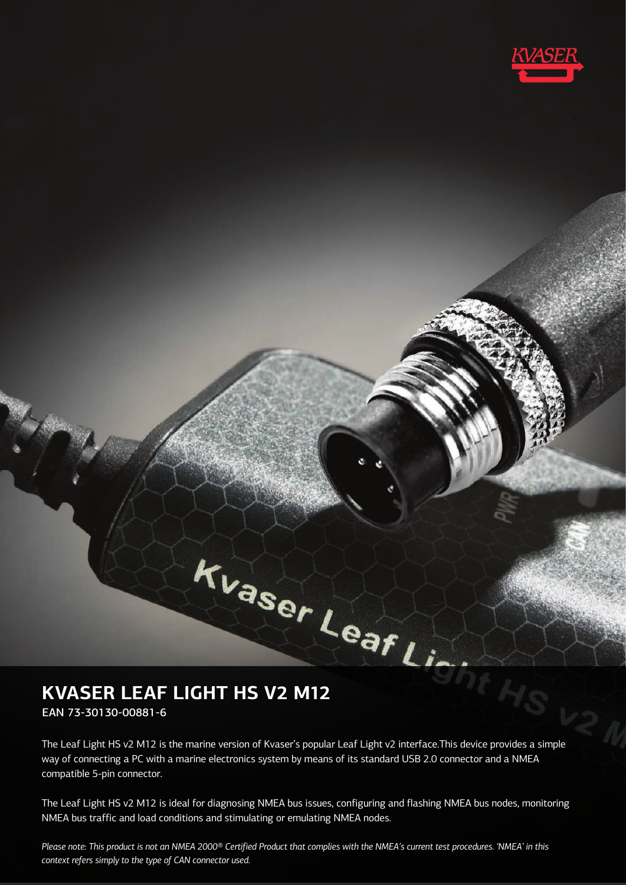

# **KVASER LEAF LIGHT HS V2 M12**

EAN 73-30130-00881-6

The Leaf Light HS v2 M12 is the marine version of Kvaser's popular Leaf Light v2 interface.This device provides a simple way of connecting a PC with a marine electronics system by means of its standard USB 2.0 connector and a NMEA compatible 5-pin connector.

The Leaf Light HS v2 M12 is ideal for diagnosing NMEA bus issues, configuring and flashing NMEA bus nodes, monitoring NMEA bus traffic and load conditions and stimulating or emulating NMEA nodes.

*Please note: This product is not an NMEA 2000® Certified Product that complies with the NMEA's current test procedures. 'NMEA' in this context refers simply to the type of CAN connector used.*